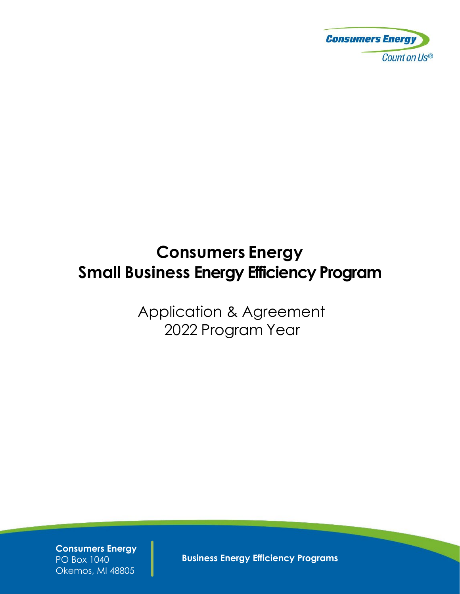

# **Consumers Energy Small Business Energy Efficiency Program**

Application & Agreement 2022 Program Year

**Consumers Energy** PO Box 1040 Okemos, MI 48805

**Business Energy Efficiency Programs**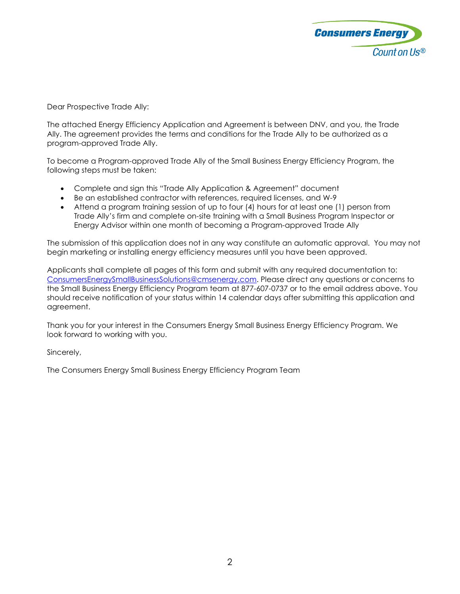

Dear Prospective Trade Ally:

The attached Energy Efficiency Application and Agreement is between DNV, and you, the Trade Ally. The agreement provides the terms and conditions for the Trade Ally to be authorized as a program-approved Trade Ally.

To become a Program-approved Trade Ally of the Small Business Energy Efficiency Program, the following steps must be taken:

- Complete and sign this "Trade Ally Application & Agreement" document
- Be an established contractor with references, required licenses, and W-9
- Attend a program training session of up to four (4) hours for at least one (1) person from Trade Ally's firm and complete on-site training with a Small Business Program Inspector or Energy Advisor within one month of becoming a Program-approved Trade Ally

The submission of this application does not in any way constitute an automatic approval. You may not begin marketing or installing energy efficiency measures until you have been approved.

Applicants shall complete all pages of this form and submit with any required documentation to: [ConsumersEnergySmallBusinessSolutions@cmsenergy.com.](mailto:ConsumersEnergySmallBusinessSolutions@cmsenergy.com) Please direct any questions or concerns to the Small Business Energy Efficiency Program team at 877-607-0737 or to the email address above. You should receive notification of your status within 14 calendar days after submitting this application and agreement.

Thank you for your interest in the Consumers Energy Small Business Energy Efficiency Program. We look forward to working with you.

Sincerely,

The Consumers Energy Small Business Energy Efficiency Program Team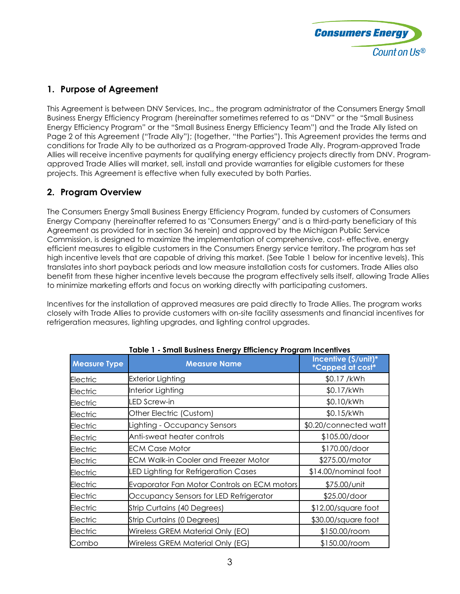

# **1. Purpose of Agreement**

This Agreement is between DNV Services, Inc., the program administrator of the Consumers Energy Small Business Energy Efficiency Program (hereinafter sometimes referred to as "DNV" or the "Small Business Energy Efficiency Program" or the "Small Business Energy Efficiency Team") and the Trade Ally listed on Page 2 of this Agreement ("Trade Ally"); (together, "the Parties"). This Agreement provides the terms and conditions for Trade Ally to be authorized as a Program-approved Trade Ally. Program-approved Trade Allies will receive incentive payments for qualifying energy efficiency projects directly from DNV. Programapproved Trade Allies will market, sell, install and provide warranties for eligible customers for these projects. This Agreement is effective when fully executed by both Parties.

# **2. Program Overview**

The Consumers Energy Small Business Energy Efficiency Program, funded by customers of Consumers Energy Company (hereinafter referred to as "Consumers Energy" and is a third-party beneficiary of this Agreement as provided for in section 36 herein) and approved by the Michigan Public Service Commission, is designed to maximize the implementation of comprehensive, cost- effective, energy efficient measures to eligible customers in the Consumers Energy service territory. The program has set high incentive levels that are capable of driving this market. (See Table 1 below for incentive levels). This translates into short payback periods and low measure installation costs for customers. Trade Allies also benefit from these higher incentive levels because the program effectively sells itself, allowing Trade Allies to minimize marketing efforts and focus on working directly with participating customers.

Incentives for the installation of approved measures are paid directly to Trade Allies. The program works closely with Trade Allies to provide customers with on-site facility assessments and financial incentives for refrigeration measures, lighting upgrades, and lighting control upgrades.

| <b>Measure Type</b> | <u>ennem seemiose sinorgy sinoronicy in ogrammini</u><br><b>Measure Name</b> | Incentive (\$/unit)*<br>*Capped at cost* |
|---------------------|------------------------------------------------------------------------------|------------------------------------------|
| Electric            | <b>Exterior Lighting</b>                                                     | \$0.17 /kWh                              |
| Electric            | Interior Lighting                                                            | \$0.17/kWh                               |
| Electric            | LED Screw-in                                                                 | \$0.10/kWh                               |
| Electric            | Other Electric (Custom)                                                      | \$0.15/kWh                               |
| Electric            | Lighting - Occupancy Sensors                                                 | \$0.20/connected watt                    |
| Electric            | Anti-sweat heater controls                                                   | \$105.00/door                            |
| Electric            | <b>ECM Case Motor</b>                                                        | \$170.00/door                            |
| Electric            | <b>ECM Walk-in Cooler and Freezer Motor</b>                                  | \$275.00/motor                           |
| Electric            | LED Lighting for Refrigeration Cases                                         | \$14.00/nominal foot                     |
| Electric            | Evaporator Fan Motor Controls on ECM motors                                  | \$75.00/unit                             |
| Electric            | Occupancy Sensors for LED Refrigerator                                       | \$25.00/door                             |
| Electric            | Strip Curtains (40 Degrees)                                                  | \$12.00/square foot                      |
| Electric            | Strip Curtains (0 Degrees)                                                   | \$30.00/square foot                      |
| Electric            | Wireless GREM Material Only (EO)                                             | \$150.00/room                            |
| Combo               | Wireless GREM Material Only (EG)                                             | \$150.00/room                            |

#### **Table 1 - Small Business Energy Efficiency Program Incentives**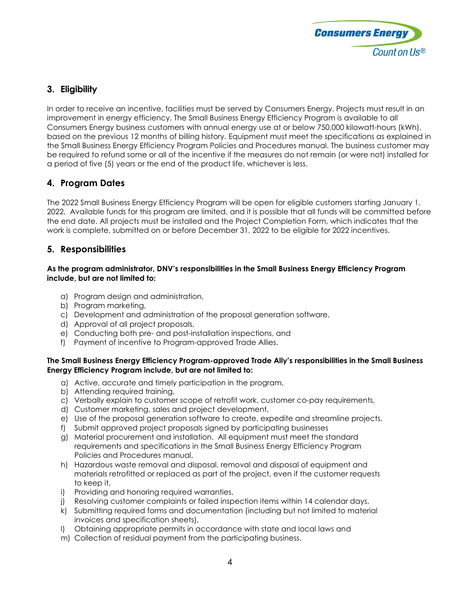

# **3. Eligibility**

In order to receive an incentive, facilities must be served by Consumers Energy. Projects must result in an improvement in energy efficiency. The Small Business Energy Efficiency Program is available to all Consumers Energy business customers with annual energy use at or below 750,000 kilowatt-hours (kWh), based on the previous 12 months of billing history. Equipment must meet the specifications as explained in the Small Business Energy Efficiency Program Policies and Procedures manual. The business customer may be required to refund some or all of the incentive if the measures do not remain (or were not) installed for a period of five (5) years or the end of the product life, whichever is less.

# **4. Program Dates**

The 2022 Small Business Energy Efficiency Program will be open for eligible customers starting January 1, 2022. Available funds for this program are limited, and it is possible that all funds will be committed before the end date. All projects must be installed and the Project Completion Form, which indicates that the work is complete, submitted on or before December 31, 2022 to be eligible for 2022 incentives.

#### **5. Responsibilities**

#### **As the program administrator, DNV's responsibilities in the Small Business Energy Efficiency Program include, but are not limited to:**

- a) Program design and administration,
- b) Program marketing,
- c) Development and administration of the proposal generation software,
- d) Approval of all project proposals,
- e) Conducting both pre- and post-installation inspections, and
- f) Payment of incentive to Program-approved Trade Allies.

#### **The Small Business Energy Efficiency Program-approved Trade Ally's responsibilities in the Small Business Energy Efficiency Program include, but are not limited to:**

- a) Active, accurate and timely participation in the program,
- b) Attending required training,
- c) Verbally explain to customer scope of retrofit work, customer co-pay requirements,
- d) Customer marketing, sales and project development,
- e) Use of the proposal generation software to create, expedite and streamline projects,
- f) Submit approved project proposals signed by participating businesses
- g) Material procurement and installation. All equipment must meet the standard requirements and specifications in the Small Business Energy Efficiency Program Policies and Procedures manual,
- h) Hazardous waste removal and disposal, removal and disposal of equipment and materials retrofitted or replaced as part of the project, even if the customer requests to keep it,
- i) Providing and honoring required warranties,
- j) Resolving customer complaints or failed inspection items within 14 calendar days,
- k) Submitting required forms and documentation (including but not limited to material invoices and specification sheets),
- l) Obtaining appropriate permits in accordance with state and local laws and
- m) Collection of residual payment from the participating business.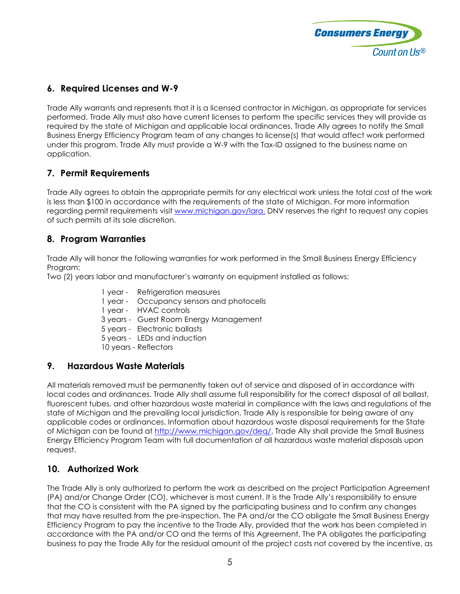

# **6. Required Licenses and W-9**

Trade Ally warrants and represents that it is a licensed contractor in Michigan, as appropriate for services performed. Trade Ally must also have current licenses to perform the specific services they will provide as required by the state of Michigan and applicable local ordinances. Trade Ally agrees to notify the Small Business Energy Efficiency Program team of any changes to license(s) that would affect work performed under this program. Trade Ally must provide a W-9 with the Tax-ID assigned to the business name on application.

# **7. Permit Requirements**

Trade Ally agrees to obtain the appropriate permits for any electrical work unless the total cost of the work is less than \$100 in accordance with the requirements of the state of Michigan. For more information regarding permit requirements visit [www.michigan.gov/lara.](http://www.michigan.gov/lara.) DNV reserves the right to request any copies of such permits at its sole discretion.

# **8. Program Warranties**

Trade Ally will honor the following warranties for work performed in the Small Business Energy Efficiency Program:

Two (2) years labor and manufacturer's warranty on equipment installed as follows:

- 1 year Refrigeration measures
- 1 year Occupancy sensors and photocells
- 1 year HVAC controls
- 3 years Guest Room Energy Management
- 5 years Electronic ballasts
- 5 years LEDs and induction
- 10 years Reflectors

#### **9. Hazardous Waste Materials**

All materials removed must be permanently taken out of service and disposed of in accordance with local codes and ordinances. Trade Ally shall assume full responsibility for the correct disposal of all ballast, fluorescent tubes, and other hazardous waste material in compliance with the laws and regulations of the state of Michigan and the prevailing local jurisdiction. Trade Ally is responsible for being aware of any applicable codes or ordinances. Information about hazardous waste disposal requirements for the State of Michigan can be found at [http://www.michigan.gov/deq/.](http://www.michigan.gov/deq/) Trade Ally shall provide the Small Business Energy Efficiency Program Team with full documentation of all hazardous waste material disposals upon request.

#### **10. Authorized Work**

The Trade Ally is only authorized to perform the work as described on the project Participation Agreement (PA) and/or Change Order (CO), whichever is most current. It is the Trade Ally's responsibility to ensure that the CO is consistent with the PA signed by the participating business and to confirm any changes that may have resulted from the pre-inspection. The PA and/or the CO obligate the Small Business Energy Efficiency Program to pay the incentive to the Trade Ally, provided that the work has been completed in accordance with the PA and/or CO and the terms of this Agreement. The PA obligates the participating business to pay the Trade Ally for the residual amount of the project costs not covered by the incentive, as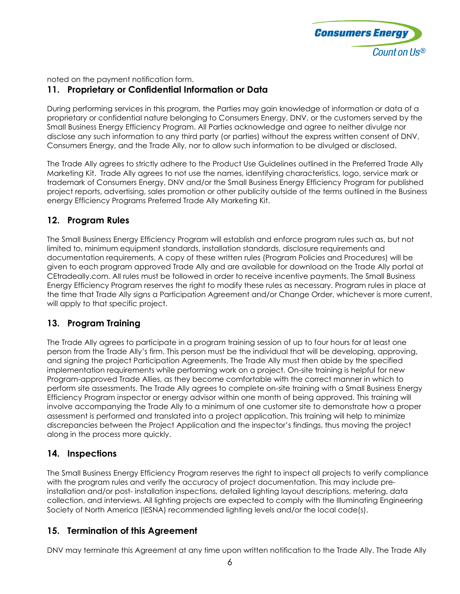

noted on the payment notification form.

# **11. Proprietary or Confidential Information or Data**

During performing services in this program, the Parties may gain knowledge of information or data of a proprietary or confidential nature belonging to Consumers Energy, DNV, or the customers served by the Small Business Energy Efficiency Program. All Parties acknowledge and agree to neither divulge nor disclose any such information to any third party (or parties) without the express written consent of DNV, Consumers Energy, and the Trade Ally, nor to allow such information to be divulged or disclosed.

The Trade Ally agrees to strictly adhere to the Product Use Guidelines outlined in the Preferred Trade Ally Marketing Kit. Trade Ally agrees to not use the names, identifying characteristics, logo, service mark or trademark of Consumers Energy, DNV and/or the Small Business Energy Efficiency Program for published project reports, advertising, sales promotion or other publicity outside of the terms outlined in the Business energy Efficiency Programs Preferred Trade Ally Marketing Kit.

#### **12. Program Rules**

The Small Business Energy Efficiency Program will establish and enforce program rules such as, but not limited to, minimum equipment standards, installation standards, disclosure requirements and documentation requirements. A copy of these written rules (Program Policies and Procedures) will be given to each program approved Trade Ally and are available for download on the Trade Ally portal at CEtradeally.com. All rules must be followed in order to receive incentive payments. The Small Business Energy Efficiency Program reserves the right to modify these rules as necessary. Program rules in place at the time that Trade Ally signs a Participation Agreement and/or Change Order, whichever is more current, will apply to that specific project.

# **13. Program Training**

The Trade Ally agrees to participate in a program training session of up to four hours for at least one person from the Trade Ally's firm. This person must be the individual that will be developing, approving, and signing the project Participation Agreements. The Trade Ally must then abide by the specified implementation requirements while performing work on a project. On-site training is helpful for new Program-approved Trade Allies, as they become comfortable with the correct manner in which to perform site assessments. The Trade Ally agrees to complete on-site training with a Small Business Energy Efficiency Program inspector or energy advisor within one month of being approved. This training will involve accompanying the Trade Ally to a minimum of one customer site to demonstrate how a proper assessment is performed and translated into a project application. This training will help to minimize discrepancies between the Project Application and the inspector's findings, thus moving the project along in the process more quickly.

# **14. Inspections**

The Small Business Energy Efficiency Program reserves the right to inspect all projects to verify compliance with the program rules and verify the accuracy of project documentation. This may include preinstallation and/or post- installation inspections, detailed lighting layout descriptions, metering, data collection, and interviews. All lighting projects are expected to comply with the Illuminating Engineering Society of North America (IESNA) recommended lighting levels and/or the local code(s).

# **15. Termination of this Agreement**

DNV may terminate this Agreement at any time upon written notification to the Trade Ally. The Trade Ally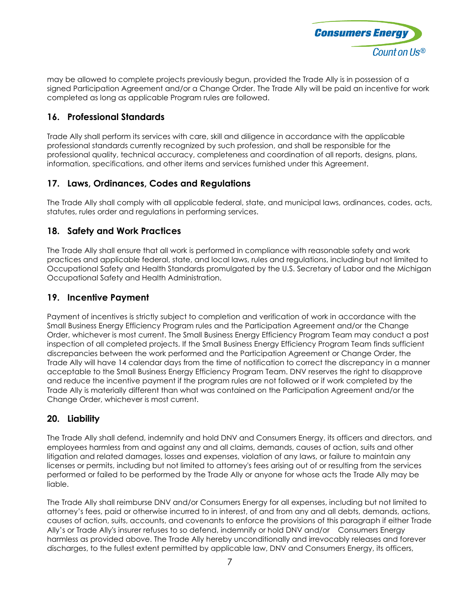

may be allowed to complete projects previously begun, provided the Trade Ally is in possession of a signed Participation Agreement and/or a Change Order. The Trade Ally will be paid an incentive for work completed as long as applicable Program rules are followed.

#### **16. Professional Standards**

Trade Ally shall perform its services with care, skill and diligence in accordance with the applicable professional standards currently recognized by such profession, and shall be responsible for the professional quality, technical accuracy, completeness and coordination of all reports, designs, plans, information, specifications, and other items and services furnished under this Agreement.

#### **17. Laws, Ordinances, Codes and Regulations**

The Trade Ally shall comply with all applicable federal, state, and municipal laws, ordinances, codes, acts, statutes, rules order and regulations in performing services.

#### **18. Safety and Work Practices**

The Trade Ally shall ensure that all work is performed in compliance with reasonable safety and work practices and applicable federal, state, and local laws, rules and regulations, including but not limited to Occupational Safety and Health Standards promulgated by the U.S. Secretary of Labor and the Michigan Occupational Safety and Health Administration.

#### **19. Incentive Payment**

Payment of incentives is strictly subject to completion and verification of work in accordance with the Small Business Energy Efficiency Program rules and the Participation Agreement and/or the Change Order, whichever is most current. The Small Business Energy Efficiency Program Team may conduct a post inspection of all completed projects. If the Small Business Energy Efficiency Program Team finds sufficient discrepancies between the work performed and the Participation Agreement or Change Order, the Trade Ally will have 14 calendar days from the time of notification to correct the discrepancy in a manner acceptable to the Small Business Energy Efficiency Program Team. DNV reserves the right to disapprove and reduce the incentive payment if the program rules are not followed or if work completed by the Trade Ally is materially different than what was contained on the Participation Agreement and/or the Change Order, whichever is most current.

#### **20. Liability**

The Trade Ally shall defend, indemnify and hold DNV and Consumers Energy, its officers and directors, and employees harmless from and against any and all claims, demands, causes of action, suits and other litigation and related damages, losses and expenses, violation of any laws, or failure to maintain any licenses or permits, including but not limited to attorney's fees arising out of or resulting from the services performed or failed to be performed by the Trade Ally or anyone for whose acts the Trade Ally may be liable.

The Trade Ally shall reimburse DNV and/or Consumers Energy for all expenses, including but not limited to attorney's fees, paid or otherwise incurred to in interest, of and from any and all debts, demands, actions, causes of action, suits, accounts, and covenants to enforce the provisions of this paragraph if either Trade Ally's or Trade Ally's insurer refuses to so defend, indemnify or hold DNV and/or Consumers Energy harmless as provided above. The Trade Ally hereby unconditionally and irrevocably releases and forever discharges, to the fullest extent permitted by applicable law, DNV and Consumers Energy, its officers,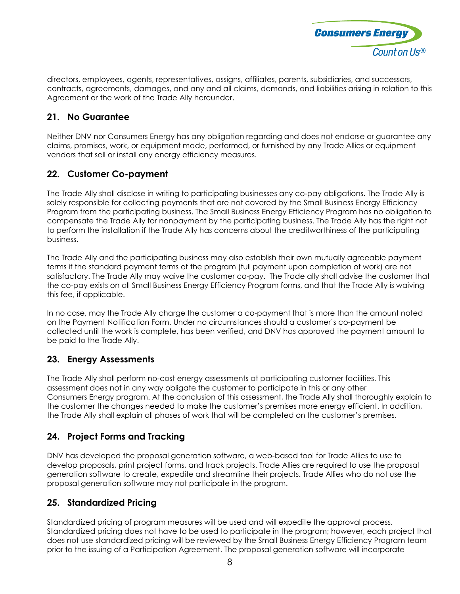

directors, employees, agents, representatives, assigns, affiliates, parents, subsidiaries, and successors, contracts, agreements, damages, and any and all claims, demands, and liabilities arising in relation to this Agreement or the work of the Trade Ally hereunder.

# **21. No Guarantee**

Neither DNV nor Consumers Energy has any obligation regarding and does not endorse or guarantee any claims, promises, work, or equipment made, performed, or furnished by any Trade Allies or equipment vendors that sell or install any energy efficiency measures.

#### **22. Customer Co-payment**

The Trade Ally shall disclose in writing to participating businesses any co-pay obligations. The Trade Ally is solely responsible for collecting payments that are not covered by the Small Business Energy Efficiency Program from the participating business. The Small Business Energy Efficiency Program has no obligation to compensate the Trade Ally for nonpayment by the participating business. The Trade Ally has the right not to perform the installation if the Trade Ally has concerns about the creditworthiness of the participating business.

The Trade Ally and the participating business may also establish their own mutually agreeable payment terms if the standard payment terms of the program (full payment upon completion of work) are not satisfactory. The Trade Ally may waive the customer co-pay. The Trade ally shall advise the customer that the co-pay exists on all Small Business Energy Efficiency Program forms, and that the Trade Ally is waiving this fee, if applicable.

In no case, may the Trade Ally charge the customer a co-payment that is more than the amount noted on the Payment Notification Form. Under no circumstances should a customer's co-payment be collected until the work is complete, has been verified, and DNV has approved the payment amount to be paid to the Trade Ally.

#### **23. Energy Assessments**

The Trade Ally shall perform no-cost energy assessments at participating customer facilities. This assessment does not in any way obligate the customer to participate in this or any other Consumers Energy program. At the conclusion of this assessment, the Trade Ally shall thoroughly explain to the customer the changes needed to make the customer's premises more energy efficient. In addition, the Trade Ally shall explain all phases of work that will be completed on the customer's premises.

# **24. Project Forms and Tracking**

DNV has developed the proposal generation software, a web-based tool for Trade Allies to use to develop proposals, print project forms, and track projects. Trade Allies are required to use the proposal generation software to create, expedite and streamline their projects. Trade Allies who do not use the proposal generation software may not participate in the program.

# **25. Standardized Pricing**

Standardized pricing of program measures will be used and will expedite the approval process. Standardized pricing does not have to be used to participate in the program; however, each project that does not use standardized pricing will be reviewed by the Small Business Energy Efficiency Program team prior to the issuing of a Participation Agreement. The proposal generation software will incorporate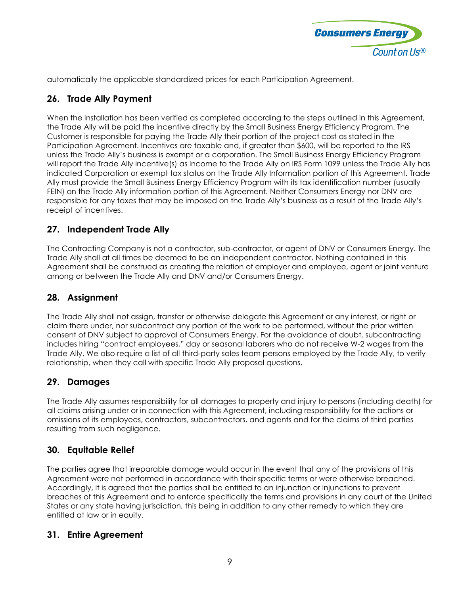

automatically the applicable standardized prices for each Participation Agreement.

# **26. Trade Ally Payment**

When the installation has been verified as completed according to the steps outlined in this Agreement, the Trade Ally will be paid the incentive directly by the Small Business Energy Efficiency Program. The Customer is responsible for paying the Trade Ally their portion of the project cost as stated in the Participation Agreement. Incentives are taxable and, if greater than \$600, will be reported to the IRS unless the Trade Ally's business is exempt or a corporation. The Small Business Energy Efficiency Program will report the Trade Ally incentive(s) as income to the Trade Ally on IRS Form 1099 unless the Trade Ally has indicated Corporation or exempt tax status on the Trade Ally Information portion of this Agreement. Trade Ally must provide the Small Business Energy Efficiency Program with its tax identification number (usually FEIN) on the Trade Ally information portion of this Agreement. Neither Consumers Energy nor DNV are responsible for any taxes that may be imposed on the Trade Ally's business as a result of the Trade Ally's receipt of incentives.

#### **27. Independent Trade Ally**

The Contracting Company is not a contractor, sub-contractor, or agent of DNV or Consumers Energy. The Trade Ally shall at all times be deemed to be an independent contractor. Nothing contained in this Agreement shall be construed as creating the relation of employer and employee, agent or joint venture among or between the Trade Ally and DNV and/or Consumers Energy.

### **28. Assignment**

The Trade Ally shall not assign, transfer or otherwise delegate this Agreement or any interest, or right or claim there under, nor subcontract any portion of the work to be performed, without the prior written consent of DNV subject to approval of Consumers Energy. For the avoidance of doubt, subcontracting includes hiring "contract employees," day or seasonal laborers who do not receive W-2 wages from the Trade Ally. We also require a list of all third-party sales team persons employed by the Trade Ally, to verify relationship, when they call with specific Trade Ally proposal questions.

#### **29. Damages**

The Trade Ally assumes responsibility for all damages to property and injury to persons (including death) for all claims arising under or in connection with this Agreement, including responsibility for the actions or omissions of its employees, contractors, subcontractors, and agents and for the claims of third parties resulting from such negligence.

#### **30. Equitable Relief**

The parties agree that irreparable damage would occur in the event that any of the provisions of this Agreement were not performed in accordance with their specific terms or were otherwise breached. Accordingly, it is agreed that the parties shall be entitled to an injunction or injunctions to prevent breaches of this Agreement and to enforce specifically the terms and provisions in any court of the United States or any state having jurisdiction, this being in addition to any other remedy to which they are entitled at law or in equity.

#### **31. Entire Agreement**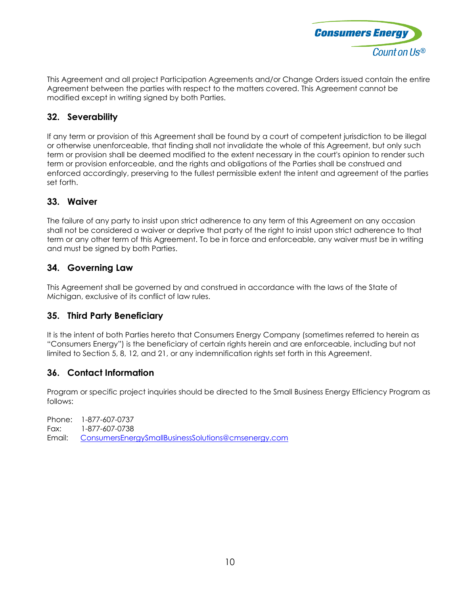

This Agreement and all project Participation Agreements and/or Change Orders issued contain the entire Agreement between the parties with respect to the matters covered. This Agreement cannot be modified except in writing signed by both Parties.

# **32. Severability**

If any term or provision of this Agreement shall be found by a court of competent jurisdiction to be illegal or otherwise unenforceable, that finding shall not invalidate the whole of this Agreement, but only such term or provision shall be deemed modified to the extent necessary in the court's opinion to render such term or provision enforceable, and the rights and obligations of the Parties shall be construed and enforced accordingly, preserving to the fullest permissible extent the intent and agreement of the parties set forth.

#### **33. Waiver**

The failure of any party to insist upon strict adherence to any term of this Agreement on any occasion shall not be considered a waiver or deprive that party of the right to insist upon strict adherence to that term or any other term of this Agreement. To be in force and enforceable, any waiver must be in writing and must be signed by both Parties.

# **34. Governing Law**

This Agreement shall be governed by and construed in accordance with the laws of the State of Michigan, exclusive of its conflict of law rules.

#### **35. Third Party Beneficiary**

It is the intent of both Parties hereto that Consumers Energy Company (sometimes referred to herein as "Consumers Energy") is the beneficiary of certain rights herein and are enforceable, including but not limited to Section 5, 8, 12, and 21, or any indemnification rights set forth in this Agreement.

#### **36. Contact Information**

Program or specific project inquiries should be directed to the Small Business Energy Efficiency Program as follows:

Phone: 1-877-607-0737 Fax: 1-877-607-0738 Email: [ConsumersEnergySmallBusinessSolutions@cmsenergy.com](mailto:ConsumersEnergySmallBusinessSolutions@cmsenergy.com)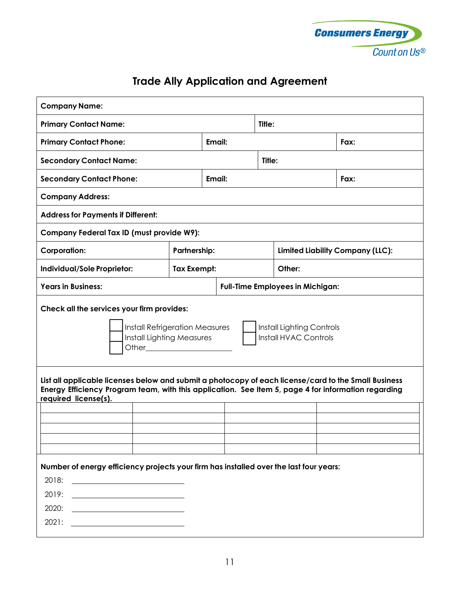

# **Trade Ally Application and Agreement**

| <b>Company Name:</b>                                                                                                                                                                                                                                                                                                                                                                                                  |                     |                                         |                                         |  |      |  |  |
|-----------------------------------------------------------------------------------------------------------------------------------------------------------------------------------------------------------------------------------------------------------------------------------------------------------------------------------------------------------------------------------------------------------------------|---------------------|-----------------------------------------|-----------------------------------------|--|------|--|--|
| <b>Primary Contact Name:</b>                                                                                                                                                                                                                                                                                                                                                                                          | Title:              |                                         |                                         |  |      |  |  |
| <b>Primary Contact Phone:</b>                                                                                                                                                                                                                                                                                                                                                                                         |                     | Email:                                  |                                         |  | Fax: |  |  |
| <b>Secondary Contact Name:</b>                                                                                                                                                                                                                                                                                                                                                                                        |                     | Title:                                  |                                         |  |      |  |  |
| <b>Secondary Contact Phone:</b>                                                                                                                                                                                                                                                                                                                                                                                       |                     | Email:                                  |                                         |  | Fax: |  |  |
| <b>Company Address:</b>                                                                                                                                                                                                                                                                                                                                                                                               |                     |                                         |                                         |  |      |  |  |
| <b>Address for Payments if Different:</b>                                                                                                                                                                                                                                                                                                                                                                             |                     |                                         |                                         |  |      |  |  |
| <b>Company Federal Tax ID (must provide W9):</b>                                                                                                                                                                                                                                                                                                                                                                      |                     |                                         |                                         |  |      |  |  |
| <b>Corporation:</b>                                                                                                                                                                                                                                                                                                                                                                                                   | <b>Partnership:</b> |                                         | <b>Limited Liability Company (LLC):</b> |  |      |  |  |
| Individual/Sole Proprietor:                                                                                                                                                                                                                                                                                                                                                                                           | Tax Exempt:         |                                         | Other:                                  |  |      |  |  |
| <b>Years in Business:</b>                                                                                                                                                                                                                                                                                                                                                                                             |                     | <b>Full-Time Employees in Michigan:</b> |                                         |  |      |  |  |
| Check all the services your firm provides:<br><b>Install Refrigeration Measures</b><br>Install Lighting Controls<br>Install HVAC Controls<br><b>Install Lighting Measures</b><br>Other <b>Communist Communist Communist Communist Communist Communist Communist Communist Communist Communist Communist Communist Communist Communist Communist Communist Communist Communist Communist Communist Communist Commu</b> |                     |                                         |                                         |  |      |  |  |
| List all applicable licenses below and submit a photocopy of each license/card to the Small Business<br>Energy Efficiency Program team, with this application. See Item 5, page 4 for information regarding<br>required license(s).                                                                                                                                                                                   |                     |                                         |                                         |  |      |  |  |
|                                                                                                                                                                                                                                                                                                                                                                                                                       |                     |                                         |                                         |  |      |  |  |
| Number of energy efficiency projects your firm has installed over the last four years:<br>2018:<br><u>and the company of the company of the company of the company of the company of the company of the company of the company of the company of the company of the company of the company of the company of the company of the com</u><br>2019:<br>2020:<br>2021:                                                    |                     |                                         |                                         |  |      |  |  |